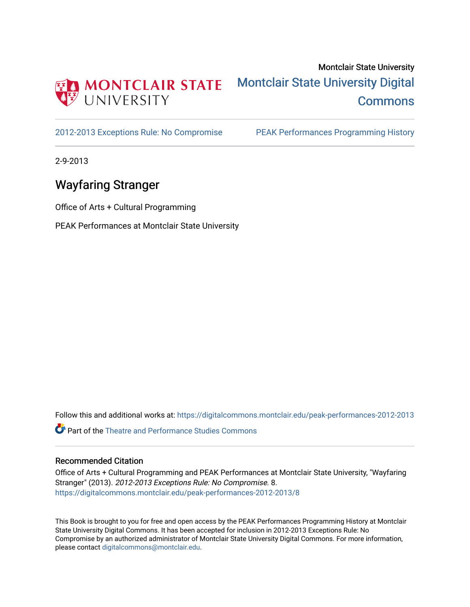

[2012-2013 Exceptions Rule: No Compromise](https://digitalcommons.montclair.edu/peak-performances-2012-2013) PEAK Performances Programming History

2-9-2013

# Wayfaring Stranger

Office of Arts + Cultural Programming

PEAK Performances at Montclair State University

Follow this and additional works at: [https://digitalcommons.montclair.edu/peak-performances-2012-2013](https://digitalcommons.montclair.edu/peak-performances-2012-2013?utm_source=digitalcommons.montclair.edu%2Fpeak-performances-2012-2013%2F8&utm_medium=PDF&utm_campaign=PDFCoverPages) 

Part of the [Theatre and Performance Studies Commons](http://network.bepress.com/hgg/discipline/552?utm_source=digitalcommons.montclair.edu%2Fpeak-performances-2012-2013%2F8&utm_medium=PDF&utm_campaign=PDFCoverPages) 

## Recommended Citation

Office of Arts + Cultural Programming and PEAK Performances at Montclair State University, "Wayfaring Stranger" (2013). 2012-2013 Exceptions Rule: No Compromise. 8. [https://digitalcommons.montclair.edu/peak-performances-2012-2013/8](https://digitalcommons.montclair.edu/peak-performances-2012-2013/8?utm_source=digitalcommons.montclair.edu%2Fpeak-performances-2012-2013%2F8&utm_medium=PDF&utm_campaign=PDFCoverPages) 

This Book is brought to you for free and open access by the PEAK Performances Programming History at Montclair State University Digital Commons. It has been accepted for inclusion in 2012-2013 Exceptions Rule: No Compromise by an authorized administrator of Montclair State University Digital Commons. For more information, please contact [digitalcommons@montclair.edu.](mailto:digitalcommons@montclair.edu)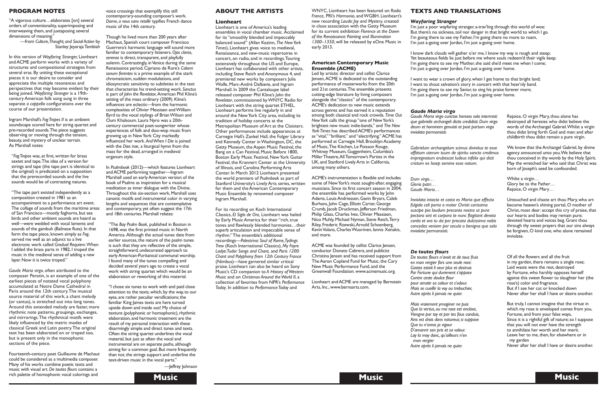# **ABOUT THE ARTISTS**

#### **Lionheart**

Lionheart is one of America's leading ensembles in vocal chamber music. Acclaimed for its "smoothly blended and impeccably balanced sound" (Allan Kozinn, *The NewYork Times*), Lionheart gives voice to medieval, Renaissance, and new-music repertoires in concert, on radio, and in recordings.Touring extensively throughout the US and Europe, Lionheart has collaborated with other artists, including Steve Reich and Anonymous 4, and premiered new works by composers Julia Wolfe, Marc-André Dalbavie, and Ingram Marshall. In 2009 the Cantaloupe label released composer Phil Kline's *John the Revelator*, commissioned byWNYC Radio for Lionheart with the string quartet ETHEL. Lionheart performs live regularly in and around the NewYork City area, including its tradition of holiday concerts at the Metropolitan Museum of Art at the Cloisters. Other performances include appearances at Carnegie Hall's Zankel Hall, the Folger Library and Kennedy Center inWashington, DC, the Getty Museum, the Aspen Music Festival, the Bang on a Can Festival, Music Before 1800, Boston Early Music Festival, NewYork Guitar Festival, the Krannert Center at the University of Illinois, and Carolina Performing Arts Center. In March 2012 Lionheart presented the world premiere of *Psalmbook* as part of Stanford University's Lively Arts series, written for them and the American Contemporary Music Ensemble by renowned composer

Ingram Marshall.

For its recording on Koch International Classics, *El Siglo de Oro,* Lionheart was hailed by Early Music America for their "rich, true tones and flawlessly blended harmonies…their superb articulation and impeccable sense of rhythm."The ensemble's additional recordings—*Palestrina: Soul of Rome,Tydings Trew* (Koch International Classics), *My Fayre Ladye:Tudor Songs and Chant,* and *Paris 1200: Chant and Polyphony from 12th Century France* (Nimbus)—have garnered similar critical praise. Lionheart can also be heard on Sony Music's CD companion to *A History ofWestern Music* and on *Christmas Around theWorld II*, a collection of favorites from NPR's *Performance Today*. In addition to *PerformanceToday* and

WNYC, Lionheart has been featured on *Radio France,* PRI's *Harmonia*, andWGBH. Lionheart's new recording *Laude: Joy and Mystery*, created in close association with the Getty Museum for its current exhibition *Florence at the Dawn of the Renaissance: Painting and Illumination 1300–1350*, will be released by eOne Music in early 2013.

### **American Contemporary Music Ensemble (ACME)**

"The tape part existed independently as a composition created in 1981 as an accompaniment to a performance art event. The collage of sounds from the maritime areas of San Francisco—mostly foghorns, but sea birds and other ambient sounds are heard as well—were wedded with vocal laments and sounds of the gambuh (Balinese flute). In that form the tape piece, known simply as *Fog*, served me well as an adjunct to a live electronic work called *Gradual Requiem*.When I added the brass parts in 1982, I troped the music in the medieval sense of adding a new layer. Now it is twice troped."

Led by artistic director and cellist Clarice Jensen,ACME is dedicated to the outstanding performance of masterworks from the 20th and 21st centuries.The ensemble presents cutting-edge literature by living composers alongside the "classics" of the contemporary. ACME's dedication to new music extends across genres and has earned it a reputation among both classical and rock crowds. *Time Out NewYork* calls the group "one of NewYork's brightest new music indie-bands," and *The New YorkTimes* has describedACME's performances as "vital," "brilliant," and "electrifying."ACME has performed at Carnegie Hall, Brooklyn Academy of Music,The Kitchen, Le Poisson Rouge, Whitney Museum,Guggenheim, Columbia's MillerTheatre,AllTomorrow's Parties in the UK, and Stanford LivelyArts in California, among many others.

ACME's instrumentation is flexible and includes some of NewYork's most sought-after, engaging musicians. Since its first concert season in 2004, the ensemble has performed works by John Adams, Louis Andriessen, Gavin Bryars, Caleb Burhans, John Cage, Elliott Carter, George Crumb, Jacob Druckman, Jefferson Friedman, Philip Glass, Charles Ives, Olivier Messiaen, Nico Muhly, Michael Nyman, Steve Reich, Terry Riley, Frederic Rzewski,Arnold Schoenberg, Kevin Volans, Charles Wuorinen, Iannis Xenakis, and more.

ACME was founded by cellist Clarice Jensen, conductor Donato Cabrera, and publicist Christina Jensen and has received support from The Aaron Copland Fund for Music, the Cary New Music Performance Fund, and the Greenwall Foundation. www.acmemusic.org.

In *Psalmbook* (2012)—which features Lionheart andACME performing together—Ingram Marshall used an earlyAmerican version of the book of Psalms as inspiration for a musical meditation as inner dialogue with the Divine. Throughout this six**-**section work,Marshall uses canonic motifs and instrumental color in varying lengths and sequences that are contemplative and contemporary, yet often suggest the 17th and 18th centuries. Marshall relates:

> Lionheart andACME are managed by Bernstein Arts, Inc., www.bernsarts.com.

### **PROGRAM NOTES**

"A vigorous culture…elaborates [on] several orders of conventionality, superimposing and interweaving them, and juxtaposing several dimensions of meaning."

> —from *Culture,Thought, and Social Action* by Stanley JeyarajaTambiah

In this version of *Wayfaring Stranger,* Lionheart and ACME perform works with a variety of structures and compositional strategies from several eras. By uniting these exceptional pieces it is our desire to consider and appreciate the multiple resonances and perspectives that may become evident by their being joined. *Wayfaring Stranger* is a 19thcentury American folk song sung in three separate *a cappella* configurations over the course of our presentation.

Ingram Marshall's *FogTropes II* is an ambient soundscape scored here for string quartet and pre**-**recorded sounds.The piece suggests observing or moving through the tension, beauty, and mystery of unclear terrain. As Marshall notes:

"*FogTropes* was, at first, written for brass sextet and tape.The idea of a version for strings and tape (the tape part is identical to the original) is predicated on a supposition that the prerecorded sounds and the live sounds would be of contrasting natures.

Rejoice, O virgin Mary, thou alone has destroyed all heresies who didst believe the words of theArchangel Gabriel.Whilst a virgin thou didst bring forth God and man: and after childbirth thou didst remain a pure virgin.

We know that the Archangel Gabriel, by divine agency announced unto you.We believe that thou conceived in thy womb by the Holy Spirit. May the wretched liar who said that Christ was born of Joseph's seed be confounded.

*Gaude Maria virgo*, often attributed to the composer Perotin, is an example of one of the earliest pieces of notated vocal polyphony accumulated at Notre Dame Cathedral in Paris around the 12th century.The musical source material of this work, a chant melody (or cantus), is stretched out into long tones. Around this extended melody are faster, more rhythmic note patterns, groupings, exchanges, and mirrorings.The rhythmical motifs were likely influenced by the metric modes of classical Greek and Latin poetry.The original text has been elaborated on or troped too, but is present only in the monophonic sections of the piece.

Fourteenth-century poet Guillaume de Machaut could be considered as a multimedia composer. Many of his works combine poetic texts and music with visual art.*De toutes flours* contains a rich palette of homophonic vocal colorings and

voice crossings that exemplify this still contemporary**-**sounding composer's work. *Dame, a vous sans retollir* typifies French dance music of the 14th century.

Though he lived more than 200 years after Machaut, Spanish court composer Francisco Guerrero's harmonic language will sound more familiar to contemporary listeners.*Ojos claros,* serenos is direct, transparent, and playfully solemn. Contrastingly, in Venice during the same Renaissance period, Cipriano de Rore's *Calami sonum ferentes* is a prime example of the stark chromaticism, sudden modulations, and idiosyncratic sensitivity to subtleties in the text that characterize his trend**-**setting work. *Sanctus* is part of *John the Revelator,*American Phil Kline's setting of the mass ordinary (2009). Kline's influences are eclectic—from the harmonic complexities of Olivier Messiaen andWilliam Byrd to the vocal stylings of BrianWilson and Oum Khalsoum. Laura Nyro was a 20thcentury commercial poet-songwriter whose experiences of folk and doo**-**wop music from growing up in NewYork City markedly influenced her work. *AndWhen I Die* is joined with the *Dies irae,* a liturgical hymn from the mass for the dead, arranged in medieval organum style.

"The *Bay Psalm Book,* published in Boston in 1698, was the first printed music in North America.Although the actual tunes date from earlier sources, the nature of the psalm tunes is such that they are reflective of the simple, straightforward, undecorated approach to earlyAmerican**-**Puritanical communal worship. I found many of the tunes compelling and decided several years ago to create a vocal work with string quartet which would be an elaboration or reworking of this material.

"I chose six tunes to work with and paid close attention to the texts, which, by the way, to our eyes, are rather peculiar versifications; the familiar King James texts are here turned upside down and inside out! My choice of texture (polyphonic or homophonic), rhythmic elaboration, and harmonic treatment are the result of my personal interaction with these disarmingly simple and direct tunes and texts. Often the string quartet underlines the vocal material, but just as often the vocal and instrumental are on separate paths, although aiming for a common goal.But more frequently than not, the strings support and underline the text**-**driven music in the vocal parts."

—Jeffrey Johnson

*Gaude Maria virgo*

*Gaude Maria virgo cunctas hereses sola intermisti que gabrielis archangeli dictis credidisti.Dum virgo deum et hominem genuisti et post partum virgo*

*inviolata permansisti.*

*Gabrielum archangelum scimus divinitus te esse affatum uterum tuum de spiritu sancto credimus impregnatum erubescat ludeus infelix qui dicit cristum ex Iosep semine esse natum.*

*Dum virgo… Gloria patri… Gaude Maria…*

*Inviolata intacta et casta es Maria que effecta fulgida celi porta o mater Christi carissima suscipe pia laudum preconia nostra ut pura pectora sint et corpora te nunc flagitant devota corda et ora tu da per precata dulcissima nobis concedas veniam per secula o benigna que sola inviolate permansisti.*

# *De toutes flours*

*De toutes flours n'avoit et de tous fruis en mon vergier fors une seule rose: Gastes estoit li seur plus et destruis Par Fortune qui durement s'oppose Contre ceste doulce flour pour amatir sa colour et s'odour. Mais se cueillir la voy ou trebuchier, Autre après li jamais ne quier.*

*Mais vraiement ymaginer ne puis Que la vertus, ou ma rose est enclose, Viengne par toy et par tes faus conduis, Ains est drois dons natureus;si suppose Que tu n'avras ja vigour D'amanrir son pris et sa valour. Lay la moy donc, qu'ailleurs n'en mon vergier Autre après li jamais ne quier.*

Whilst a virgin… Glory be to the Father… Rejoice, O virgin Mary…

Untouched and chaste art thou Mary, who art become heaven's shining portal, O mother of Christ, most dear: accept this cry of praise, that our hearts and bodies may remain pure; devoted hearts and voices beg.Grant thou through thy sweet prayers that our sins always be forgiven, O kind one, who alone remained inviolate.

Of all the flowers and all the fruit in my garden, there remains a single rose; Laid waste were the rest, destroyed by Fortune, who harshly opposes herself against this sweet flower to slaughter her (the rose's) color and fragrance. But if I see her cut or knocked down Never after her shall I have or desire another.

But truly, I cannot imagine that the virtue in which my rose is enveloped comes from you, Fortune, and from your false ways, Since it is a rightful gift of nature; so I suppose that you will not ever have the strength to annihilate her worth and her merit. Leave her to me, then, for elsewhere or in my garden Never after her shall I have or desire another.



# **TEXTS AND TRANSLATIONS**

## *Wayfaring Stranger*

I'm just a poor wayfaring stranger, a-trav'ling through this world of woe: But there's no sickness, toil nor danger in that bright world to which I go. I'm going there to see my Father, I'm going there no more to roam, I'm just a-going over Jordan, I'm just a-going over home.

I know dark clouds will gather o'er me, I know my way is rough and steep; Yet beauteous fields lie just before me where souls redeem'd their vigils keep. I'm going there to see my Mother, she said she'd meet me when I come; I'm just a-going over Jordan, I'm just a-going over home.

I want to wear a crown of glory, when I get home to that bright land; I want to shout salvation's story in concert with that heav'nly band. I'm going there to see my Savior, to sing his praise forever more; I'm just a-going over Jordan, I'm just a-going over home.